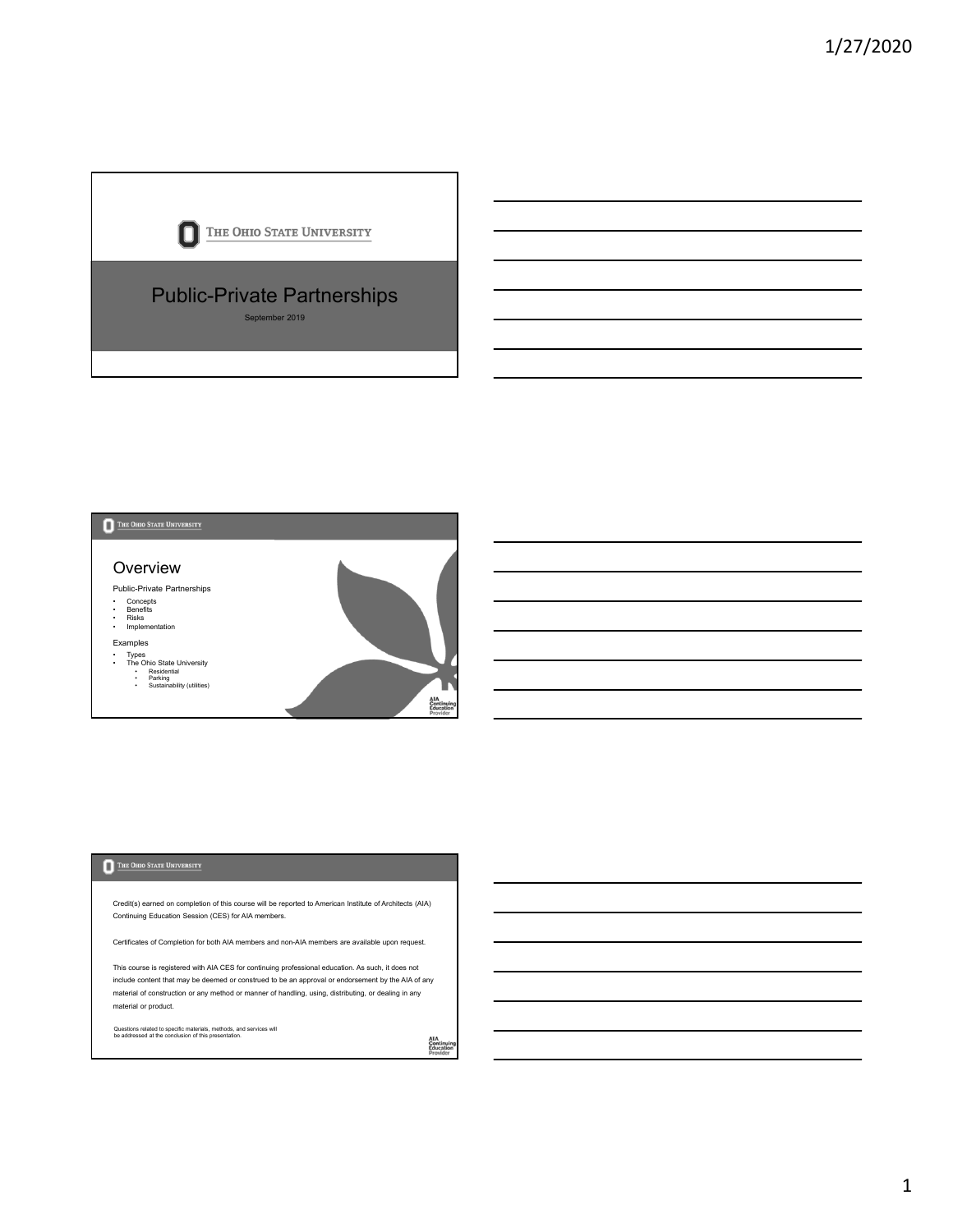



Credit(s) earned on completion of this course will be reported to American Institute of Architects (AIA) Continuing Education Session (CES) for AIA members.

Certificates of Completion for both AIA members and non-AIA members are available upon request.

This course is registered with AIA CES for continuing professional education. As such, it does not include content that may be deemed or construed to be an approval or endorsement by the AIA of any material of construction or any method or manner of handling, using, distributing, or dealing in any material or product.

Questions related to specific materials, methods, and services will be addressed at the conclusion of this presentation.

AIA<br>Continuing<br>Education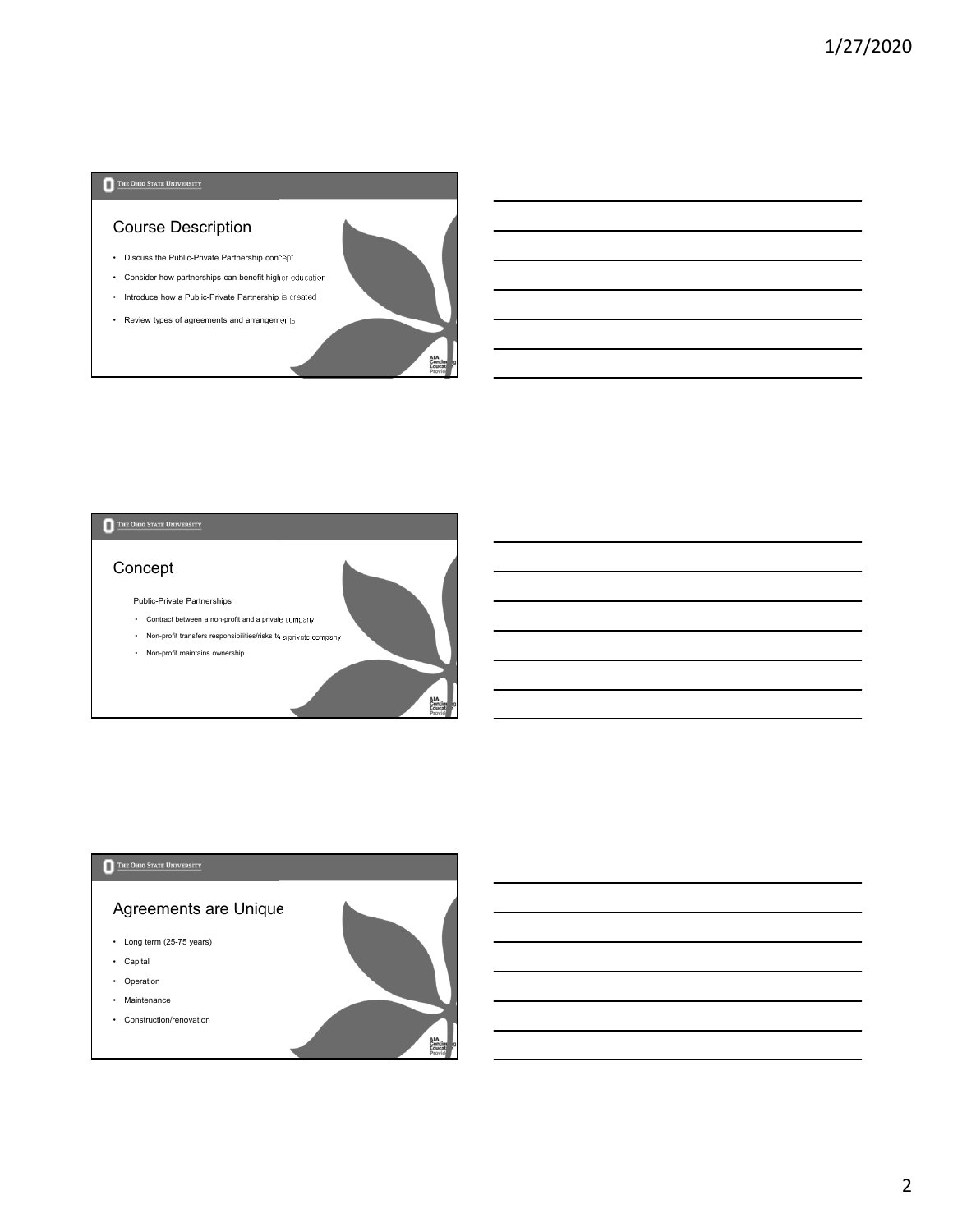## Course Description

- Discuss the Public-Private Partnership concept
- Consider how partnerships can benefit higher education
- Introduce how a Public-Private Partnership is created

 $\frac{4}{10}$ 

AIA<br>Con<br>Edu

e<br>M

• Review types of agreements and arrangements

# THE OHIO STATE UNIVERSITY

# Concept

Public-Private Partnerships

- Contract between a non-profit and a private company
- Non-profit transfers responsibilities/risks to a private company
- Non-profit maintains ownership

### THE OHIO STATE UNIVERSITY

# Agreements are Unique

- Long term (25-75 years)
- Capital
- Operation
- Maintenance
- Construction/renovation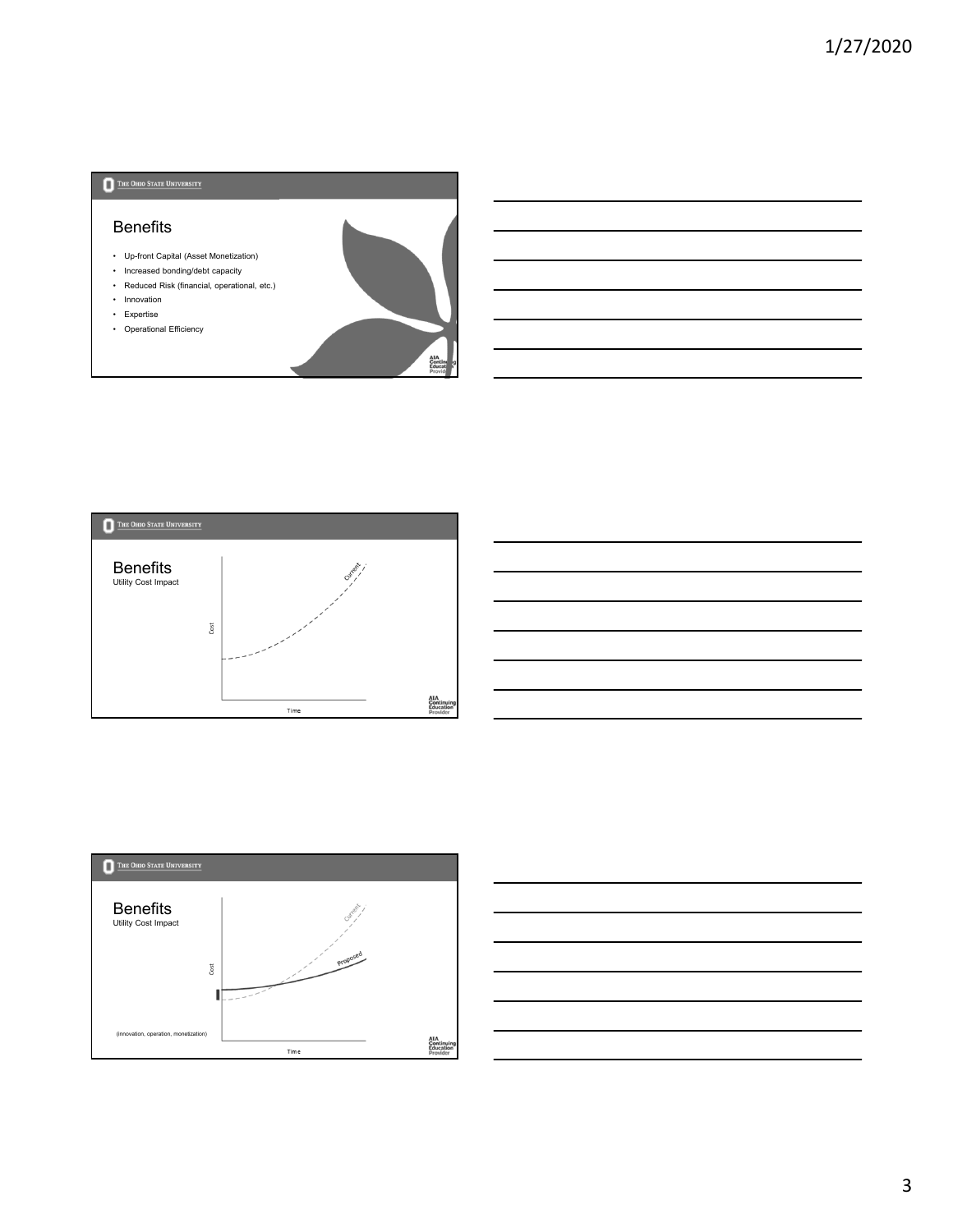#### Benefits

- Up-front Capital (Asset Monetization)
- Increased bonding/debt capacity • Reduced Risk (financial, operational, etc.)
- Innovation
- Expertise
- Operational Efficiency







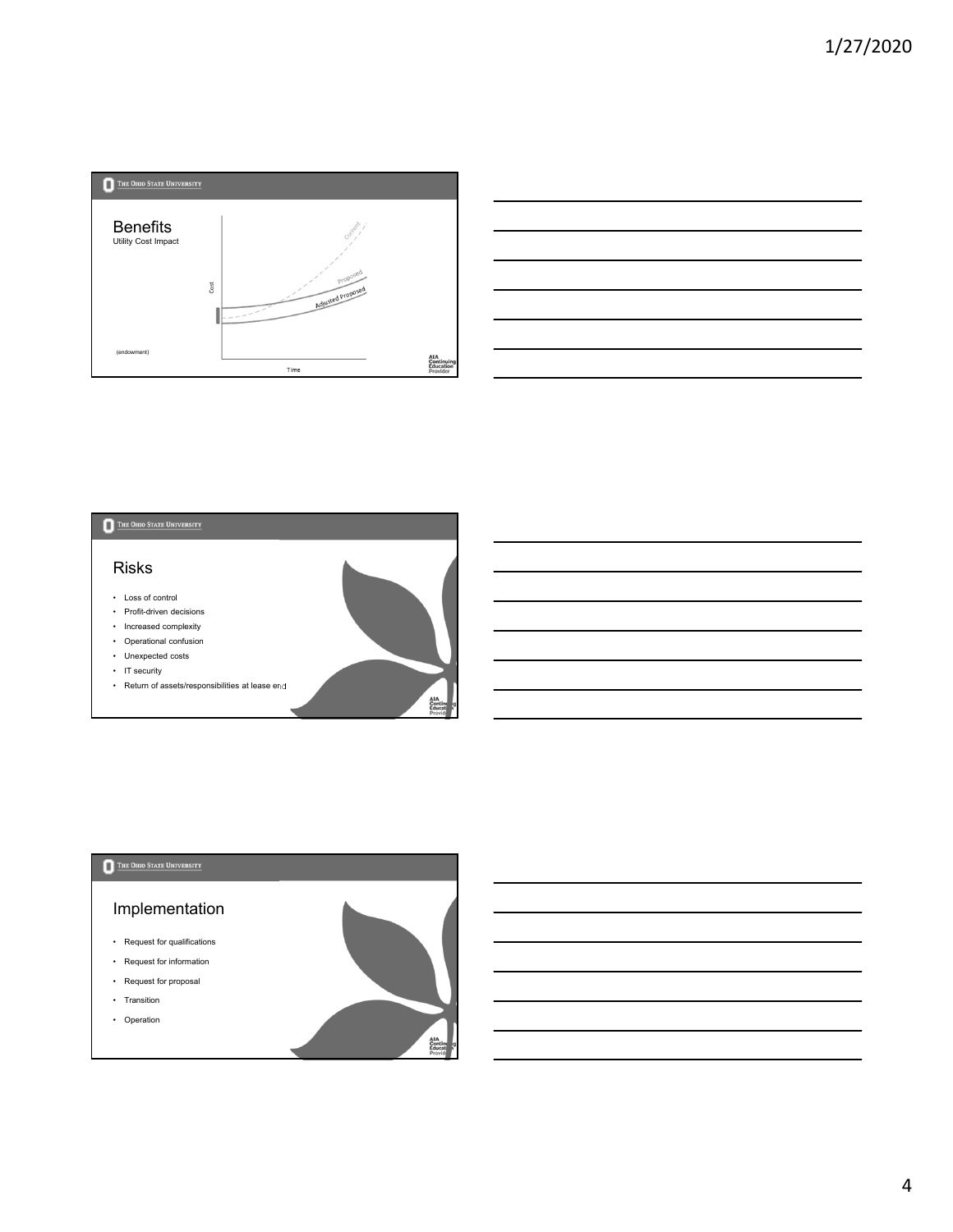





AIA<br>Contin<br>Educal

### THE OHIO STATE UNIVERSITY

## Implementation

- Request for qualifications
- Request for information
- Request for proposal
- Transition
- Operation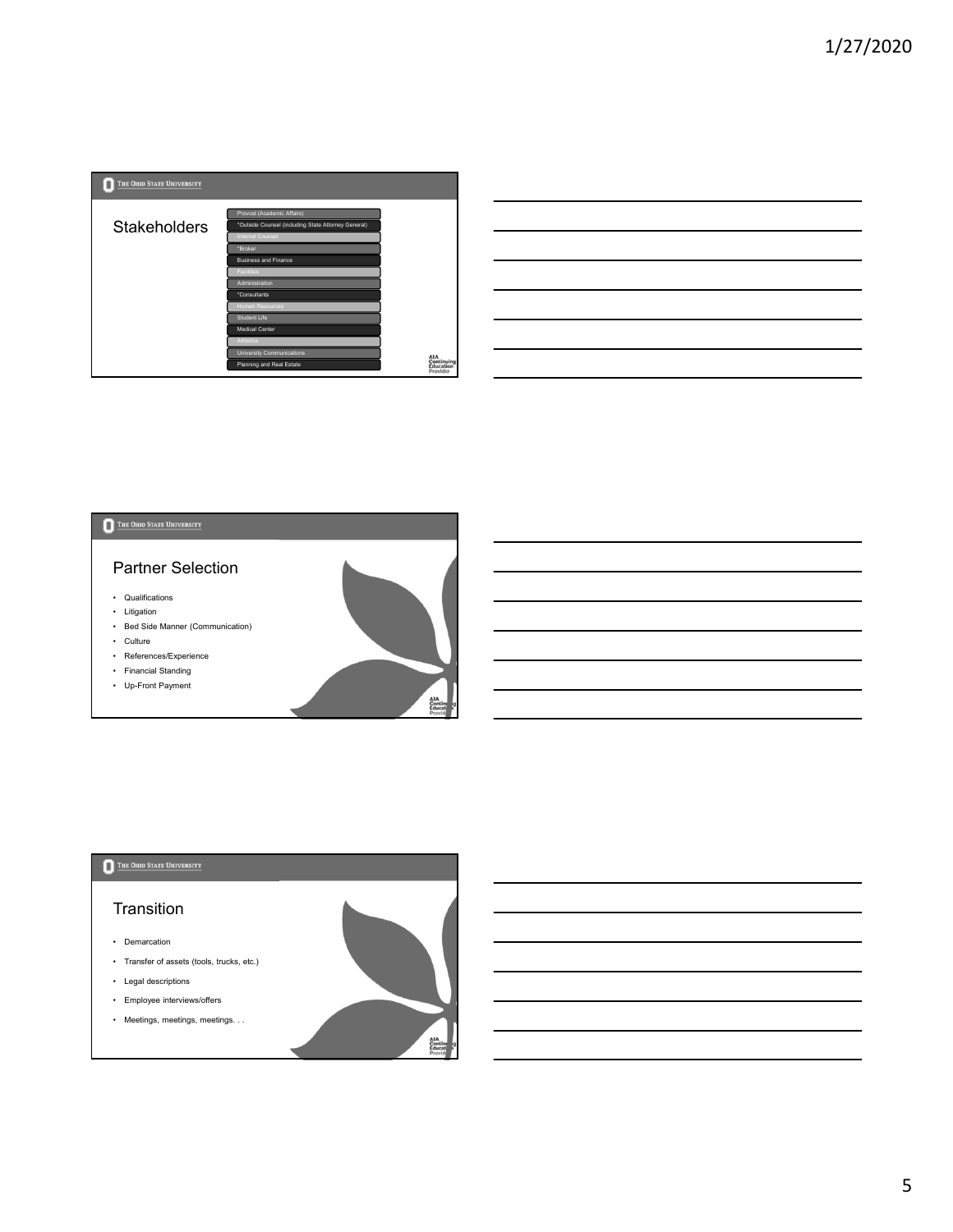

| <u> 2002 - Andrea Andrew Maria (h. 1888).</u>                                                                                                                                                                                                                                                                                                                |  |  |
|--------------------------------------------------------------------------------------------------------------------------------------------------------------------------------------------------------------------------------------------------------------------------------------------------------------------------------------------------------------|--|--|
|                                                                                                                                                                                                                                                                                                                                                              |  |  |
| <u>. In the contract of the contract of the contract of the contract of the contract of the contract of the contract of the contract of the contract of the contract of the contract of the contract of the contract of the cont</u><br><u> 1989 - Johann Barbara, martxa alemaniar argamento estas especial de la propia de la propia de la propia de l</u> |  |  |
| a shekarar 1980 haqida qayta tashkil qayta tashkil tashkil tashkil tashkil tashkil tashkil tashkil tashkil tas<br>Manazarta                                                                                                                                                                                                                                  |  |  |
| <u> 1989 - Johann Harry Harry Harry Harry Harry Harry Harry Harry Harry Harry Harry Harry Harry Harry Harry Harry</u>                                                                                                                                                                                                                                        |  |  |
| <u> 2000 - Andrea Andrew Amerikaanse kommunister († 1952)</u>                                                                                                                                                                                                                                                                                                |  |  |
|                                                                                                                                                                                                                                                                                                                                                              |  |  |

## THE OHIO STATE UNIVERSITY Partner Selection • Qualifications • Litigation • Bed Side Manner (Communication) • Culture • References/Experience • Financial Standing • Up-Front Payment AIA<br>Contin<br>Educal

AIA<br>Contin<br>Educal

#### THE OHIO STATE UNIVERSITY

## **Transition**

- Demarcation
- Transfer of assets (tools, trucks, etc.)
- Legal descriptions
- Employee interviews/offers
- Meetings, meetings, meetings. . .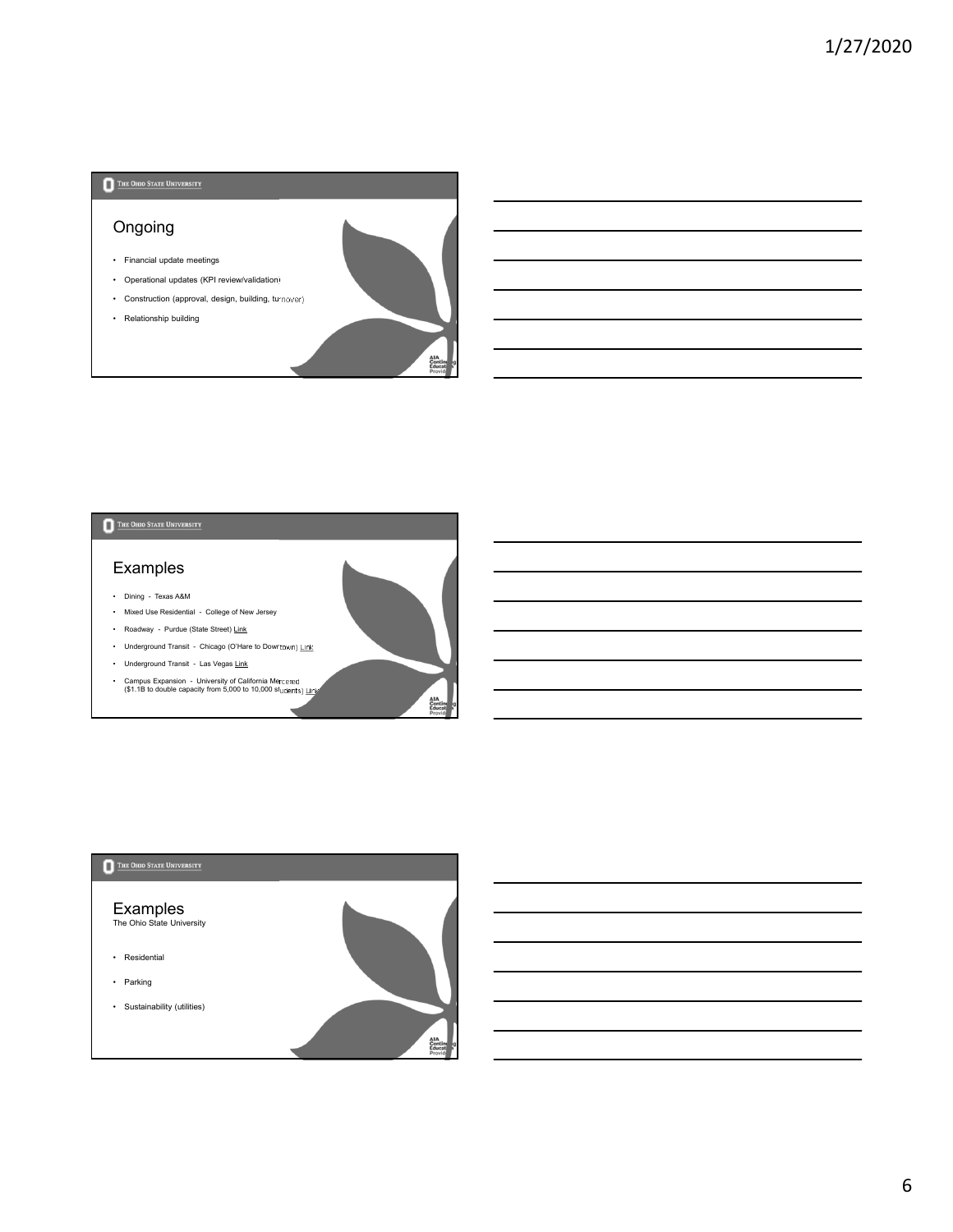## Ongoing

- Financial update meetings
- Operational updates (KPI review/validation) • Construction (approval, design, building, turnover)
- Relationship building



AIA<br>Contir<br>Educa

rcat<br>Widj

# THE OHIO STATE UNIVERSITY

## Examples

- Dining Texas A&M
- Mixed Use Residential College of New Jersey
- Roadway Purdue (State Street) Link
- Underground Transit Chicago (O'Hare to Downtown) Link
- Underground Transit Las Vegas Link
- Campus Expansion University of California Mercered (\$1.1B to double capacity from 5,000 to 10,000 students) Link

### THE OHIO STATE UNIVERSITY

#### Examples

The Ohio State University

- Residential
- Parking
- Sustainability (utilities)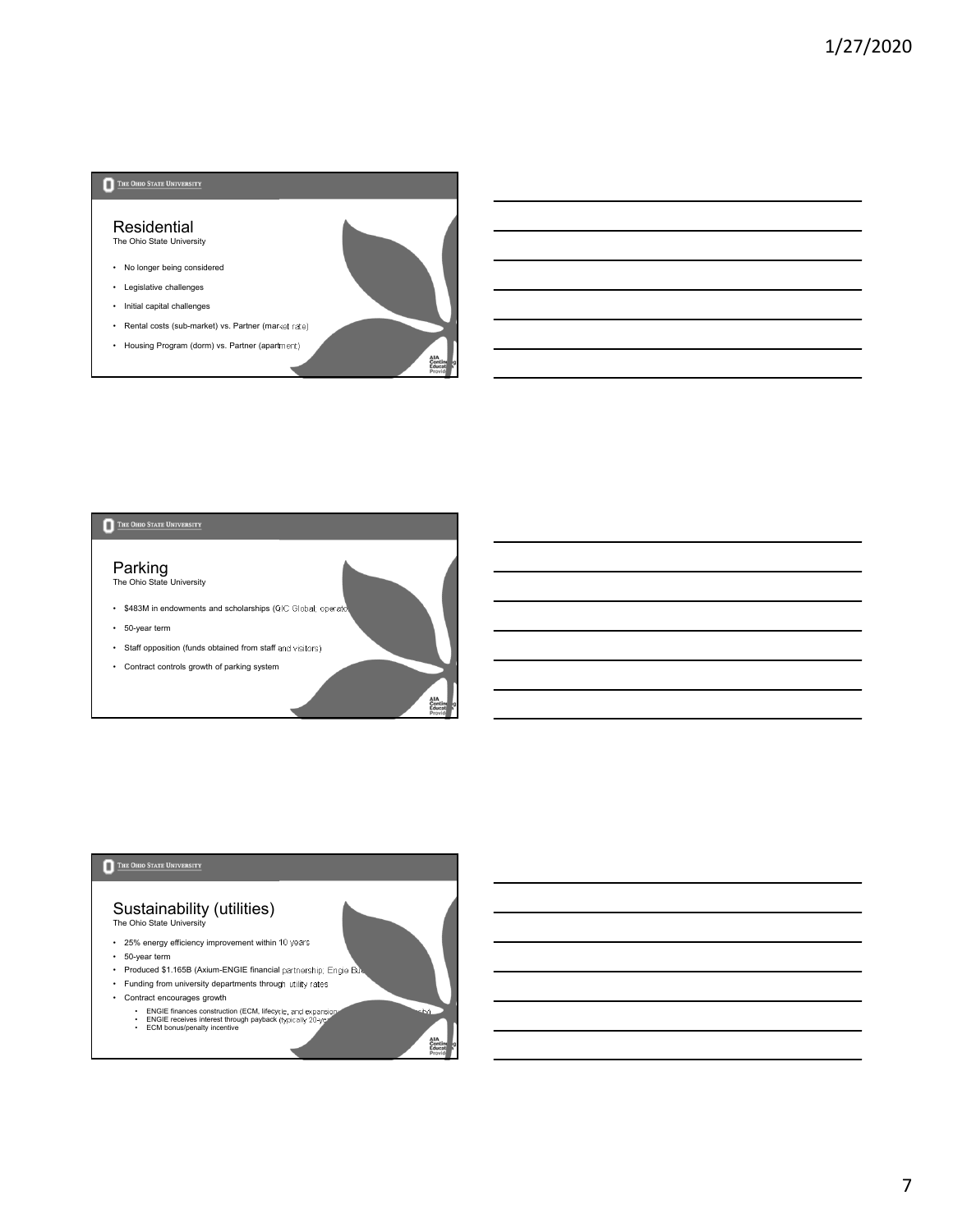

rcat<br>widj

AIA<br>Con<br>Edu

## THE OHIO STATE UNIVERSITY

#### Parking The Ohio State University

- \$483M in endowments and scholarships (QIC Global; operator
- 50-year term
- Staff opposition (funds obtained from staff and visitors)
- Contract controls growth of parking system

#### THE OHIO STATE UNIVERSITY

#### Sustainability (utilities) The Ohio State University

- 25% energy efficiency improvement within 10 years
- 50-year term
- 
- Produced \$1.165B (Axium-ENGIE financial partnership; Engie Bu • Funding from university departments through utility rates
- Contract encourages growth
	-
	- ENGIE finances construction (ECM, lifecycle, and expansion; increased bonding capacity)<br>• ENGIE receives interest through payback (typically 20-year term)<br>• ECM bonus/penalty incentive
	-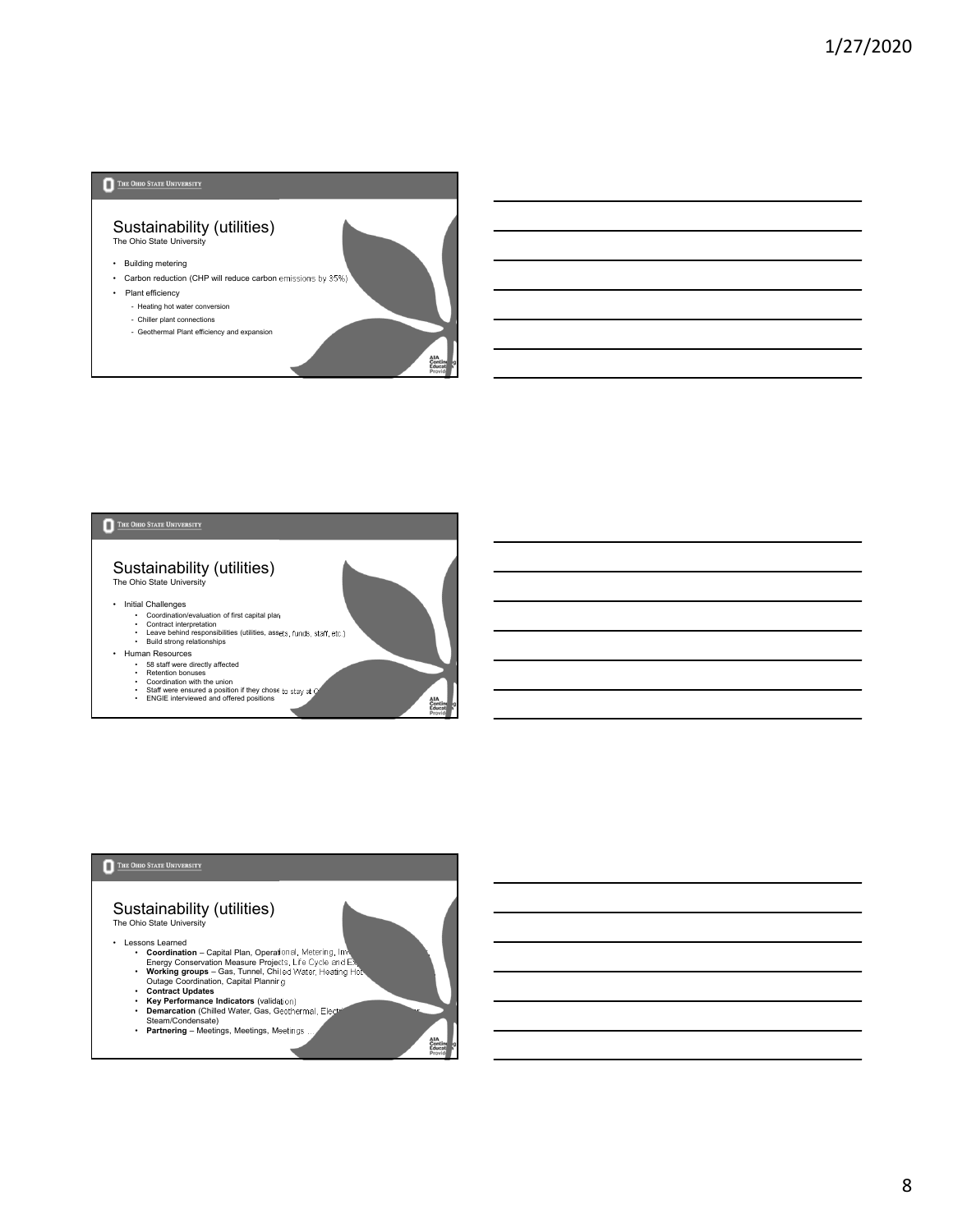#### Sustainability (utilities) The Ohio State University

- Building metering
- Carbon reduction (CHP will reduce carbon emissions by 35%)

rcat<br>Widj

AIA<br>Cont<br>Educ

AIA<br>Contin<br>Educal

- Plant efficiency
	- Heating hot water conversion
	- Chiller plant connections
	- Geothermal Plant efficiency and expansion

#### THE OHIO STATE UNIVERSITY

#### Sustainability (utilities) The Ohio State University

• Initial Challenges

- 
- Coordination/evaluation of first capital plan<br>• Contract interpretation<br>• Leave behind responsibilities (utilities, assets, funds, staff, etc.)<br>• Build strong relationships
- 
- Human Resources
	-
	-
	- S8 staff were directly affected<br>• Retention bonuses<br>• Coordination with the union<br>• Staff were ensured a position if they chose to stay at OSU<br>• ENGIE interviewed and offered positions

#### THE OHIO STATE UNIVERSITY

#### Sustainability (utilities) The Ohio State University

• Lessons Learned

- 
- Coordination Capital Plan, Operational, Metering, Inv.<br>Energy Conservation Measure Projets; Life Cycle and B.<br>• Working groups Gas, Tunnel, Chiled Water, Heating Hotel<br>• Contract Updates<br>• Contract Updates<br>• Contract
- 
- 
- 
- 
- **Partnering** Meetings, Meetings, Meetings …
	-